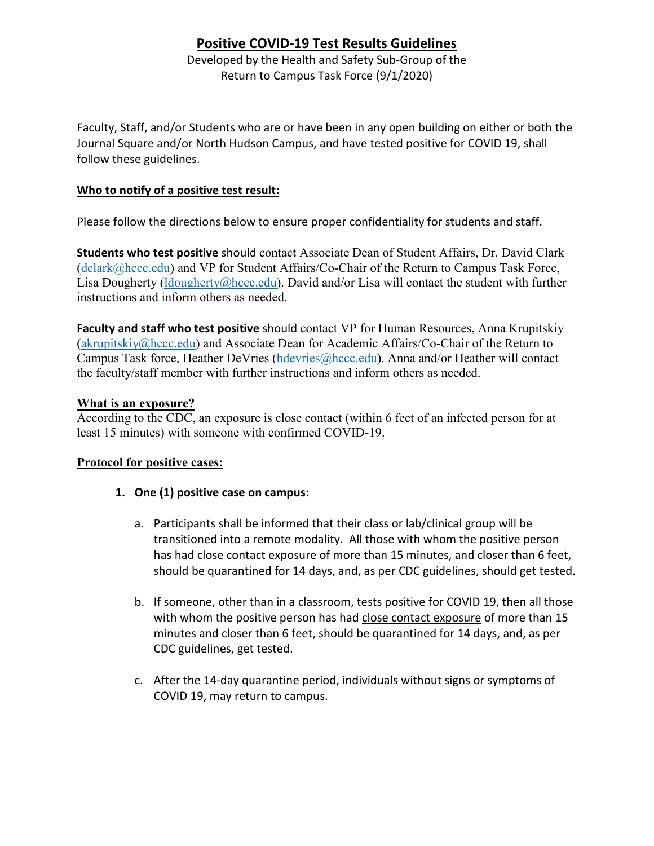## **Positive COVID-19 Test Results Guidelines**

Developed by the Health and Safety Sub-Group of the Return to Campus Task Force (9/1/2020)

Faculty, Staff, and/or Students who are or have been in any open building on either or both the Journal Square and/or North Hudson Campus, and have tested positive for COVID 19, shall follow these guidelines.

## **Who to notify of a positive test result:**

Please follow the directions below to ensure proper confidentiality for students and staff.

**Students who test positive** should contact Associate Dean of Student Affairs, Dr. David Clark (dclark@hccc.edu) and VP for Student Affairs/Co-Chair of the Return to Campus Task Force, Lisa Dougherty (ldougherty  $@$ hccc.edu). David and/or Lisa will contact the student with further instructions and inform others as needed.

**Faculty and staff who test positive** should contact VP for Human Resources, Anna Krupitskiy (akrupitskiy@hccc.edu) and Associate Dean for Academic Affairs/Co-Chair of the Return to Campus Task force, Heather DeVries (hdevries@hccc.edu). Anna and/or Heather will contact the faculty/staff member with further instructions and inform others as needed.

## **What is an exposure?**

According to the CDC, an exposure is close contact (within 6 feet of an infected person for at least 15 minutes) with someone with confirmed COVID-19.

## **Protocol for positive cases:**

- **1. One (1) positive case on campus:**
	- a. Participants shall be informed that their class or lab/clinical group will be transitioned into a remote modality. All those with whom the positive person has had close contact exposure of more than 15 minutes, and closer than 6 feet, should be quarantined for 14 days, and, as per CDC guidelines, should get tested.
	- b. If someone, other than in a classroom, tests positive for COVID 19, then all those with whom the positive person has had close contact exposure of more than 15 minutes and closer than 6 feet, should be quarantined for 14 days, and, as per CDC guidelines, get tested.
	- c. After the 14-day quarantine period, individuals without signs or symptoms of COVID 19, may return to campus.